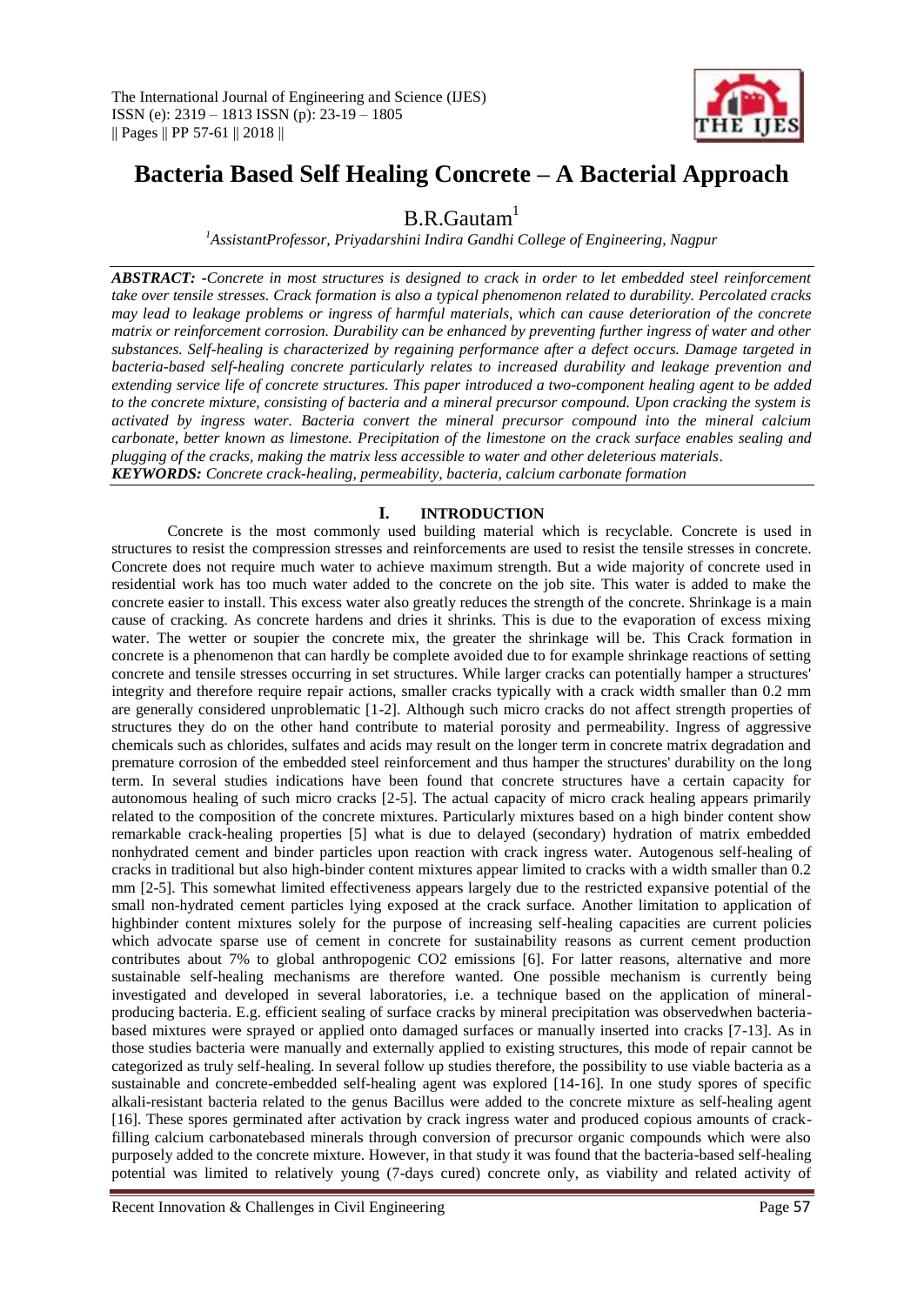

# **Bacteria Based Self Healing Concrete – A Bacterial Approach**

 $B.R.G$ autam<sup>1</sup>

*<sup>1</sup>AssistantProfessor, Priyadarshini Indira Gandhi College of Engineering, Nagpur*

*ABSTRACT: -Concrete in most structures is designed to crack in order to let embedded steel reinforcement take over tensile stresses. Crack formation is also a typical phenomenon related to durability. Percolated cracks may lead to leakage problems or ingress of harmful materials, which can cause deterioration of the concrete matrix or reinforcement corrosion. Durability can be enhanced by preventing further ingress of water and other substances. Self-healing is characterized by regaining performance after a defect occurs. Damage targeted in bacteria-based self-healing concrete particularly relates to increased durability and leakage prevention and extending service life of concrete structures. This paper introduced a two-component healing agent to be added to the concrete mixture, consisting of bacteria and a mineral precursor compound. Upon cracking the system is activated by ingress water. Bacteria convert the mineral precursor compound into the mineral calcium carbonate, better known as limestone. Precipitation of the limestone on the crack surface enables sealing and plugging of the cracks, making the matrix less accessible to water and other deleterious materials*. *KEYWORDS: Concrete crack-healing, permeability, bacteria, calcium carbonate formation*

## **I. INTRODUCTION**

Concrete is the most commonly used building material which is recyclable. Concrete is used in structures to resist the compression stresses and reinforcements are used to resist the tensile stresses in concrete. Concrete does not require much water to achieve maximum strength. But a wide majority of concrete used in residential work has too much water added to the concrete on the job site. This water is added to make the concrete easier to install. This excess water also greatly reduces the strength of the concrete. Shrinkage is a main cause of cracking. As concrete hardens and dries it shrinks. This is due to the evaporation of excess mixing water. The wetter or soupier the concrete mix, the greater the shrinkage will be. This Crack formation in concrete is a phenomenon that can hardly be complete avoided due to for example shrinkage reactions of setting concrete and tensile stresses occurring in set structures. While larger cracks can potentially hamper a structures' integrity and therefore require repair actions, smaller cracks typically with a crack width smaller than 0.2 mm are generally considered unproblematic [1-2]. Although such micro cracks do not affect strength properties of structures they do on the other hand contribute to material porosity and permeability. Ingress of aggressive chemicals such as chlorides, sulfates and acids may result on the longer term in concrete matrix degradation and premature corrosion of the embedded steel reinforcement and thus hamper the structures' durability on the long term. In several studies indications have been found that concrete structures have a certain capacity for autonomous healing of such micro cracks [2-5]. The actual capacity of micro crack healing appears primarily related to the composition of the concrete mixtures. Particularly mixtures based on a high binder content show remarkable crack-healing properties [5] what is due to delayed (secondary) hydration of matrix embedded nonhydrated cement and binder particles upon reaction with crack ingress water. Autogenous self-healing of cracks in traditional but also high-binder content mixtures appear limited to cracks with a width smaller than 0.2 mm [2-5]. This somewhat limited effectiveness appears largely due to the restricted expansive potential of the small non-hydrated cement particles lying exposed at the crack surface. Another limitation to application of highbinder content mixtures solely for the purpose of increasing self-healing capacities are current policies which advocate sparse use of cement in concrete for sustainability reasons as current cement production contributes about 7% to global anthropogenic CO2 emissions [6]. For latter reasons, alternative and more sustainable self-healing mechanisms are therefore wanted. One possible mechanism is currently being investigated and developed in several laboratories, i.e. a technique based on the application of mineralproducing bacteria. E.g. efficient sealing of surface cracks by mineral precipitation was observedwhen bacteriabased mixtures were sprayed or applied onto damaged surfaces or manually inserted into cracks [7-13]. As in those studies bacteria were manually and externally applied to existing structures, this mode of repair cannot be categorized as truly self-healing. In several follow up studies therefore, the possibility to use viable bacteria as a sustainable and concrete-embedded self-healing agent was explored [14-16]. In one study spores of specific alkali-resistant bacteria related to the genus Bacillus were added to the concrete mixture as self-healing agent [16]. These spores germinated after activation by crack ingress water and produced copious amounts of crackfilling calcium carbonatebased minerals through conversion of precursor organic compounds which were also purposely added to the concrete mixture. However, in that study it was found that the bacteria-based self-healing potential was limited to relatively young (7-days cured) concrete only, as viability and related activity of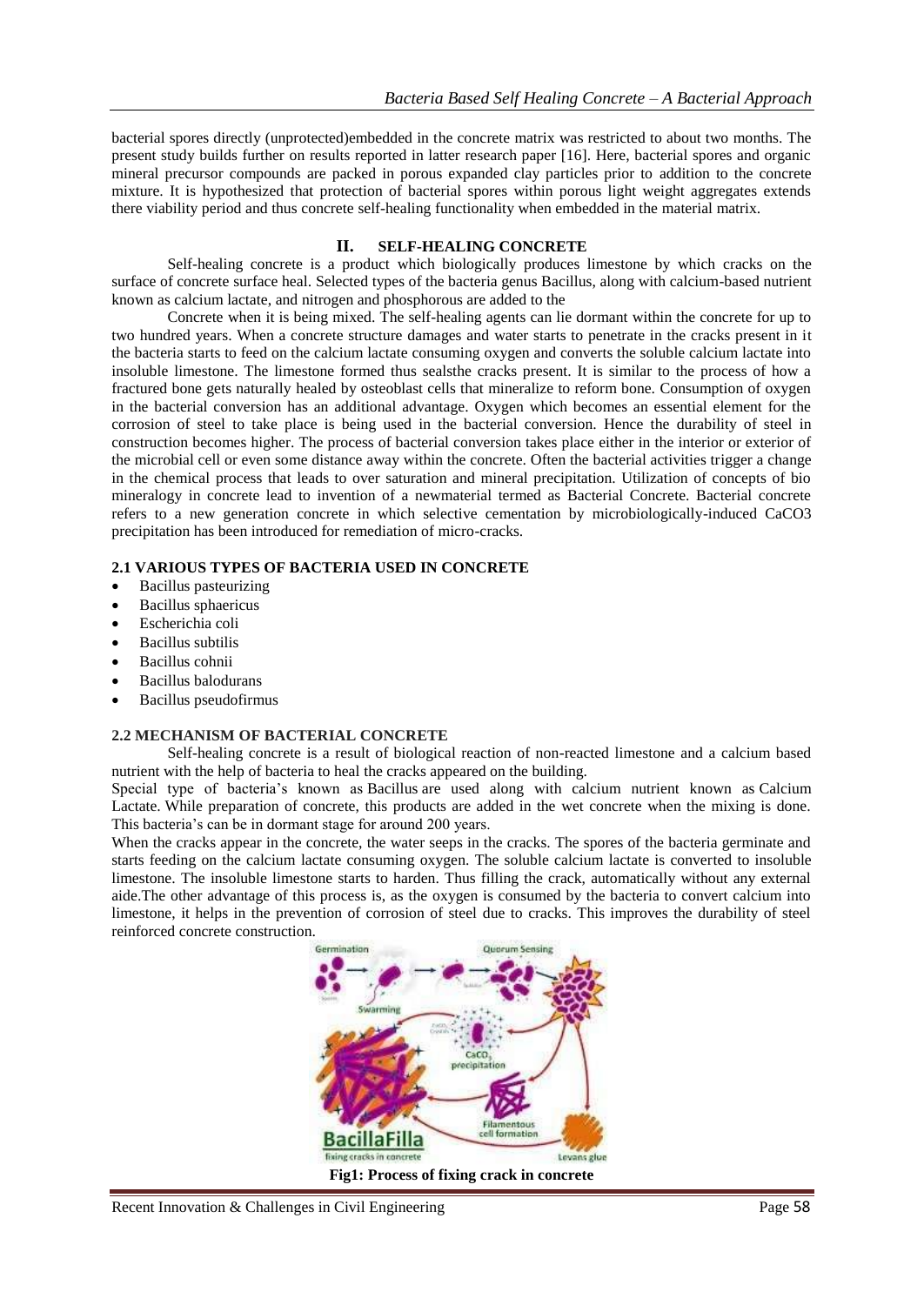bacterial spores directly (unprotected)embedded in the concrete matrix was restricted to about two months. The present study builds further on results reported in latter research paper [16]. Here, bacterial spores and organic mineral precursor compounds are packed in porous expanded clay particles prior to addition to the concrete mixture. It is hypothesized that protection of bacterial spores within porous light weight aggregates extends there viability period and thus concrete self-healing functionality when embedded in the material matrix.

## **II. SELF-HEALING CONCRETE**

Self-healing concrete is a product which biologically produces limestone by which cracks on the surface of concrete surface heal. Selected types of the bacteria genus Bacillus, along with calcium-based nutrient known as calcium lactate, and nitrogen and phosphorous are added to the

Concrete when it is being mixed. The self-healing agents can lie dormant within the concrete for up to two hundred years. When a concrete structure damages and water starts to penetrate in the cracks present in it the bacteria starts to feed on the calcium lactate consuming oxygen and converts the soluble calcium lactate into insoluble limestone. The limestone formed thus sealsthe cracks present. It is similar to the process of how a fractured bone gets naturally healed by osteoblast cells that mineralize to reform bone. Consumption of oxygen in the bacterial conversion has an additional advantage. Oxygen which becomes an essential element for the corrosion of steel to take place is being used in the bacterial conversion. Hence the durability of steel in construction becomes higher. The process of bacterial conversion takes place either in the interior or exterior of the microbial cell or even some distance away within the concrete. Often the bacterial activities trigger a change in the chemical process that leads to over saturation and mineral precipitation. Utilization of concepts of bio mineralogy in concrete lead to invention of a newmaterial termed as Bacterial Concrete. Bacterial concrete refers to a new generation concrete in which selective cementation by microbiologically-induced CaCO3 precipitation has been introduced for remediation of micro-cracks.

#### **2.1 VARIOUS TYPES OF BACTERIA USED IN CONCRETE**

- Bacillus pasteurizing
- Bacillus sphaericus
- Escherichia coli
- Bacillus subtilis
- Bacillus cohnii
- Bacillus balodurans
- Bacillus pseudofirmus

#### **2.2 MECHANISM OF BACTERIAL CONCRETE**

Self-healing concrete is a result of biological reaction of non-reacted limestone and a calcium based nutrient with the help of bacteria to heal the cracks appeared on the building.

Special type of bacteria's known as Bacillus are used along with calcium nutrient known as Calcium Lactate. While preparation of concrete, this products are added in the wet concrete when the mixing is done. This bacteria's can be in dormant stage for around 200 years.

When the cracks appear in the concrete, the water seeps in the cracks. The spores of the bacteria germinate and starts feeding on the calcium lactate consuming oxygen. The soluble calcium lactate is converted to insoluble limestone. The insoluble limestone starts to harden. Thus filling the crack, automatically without any external aide.The other advantage of this process is, as the oxygen is consumed by the bacteria to convert calcium into limestone, it helps in the prevention of corrosion of steel due to cracks. This improves the durability of steel reinforced concrete construction.

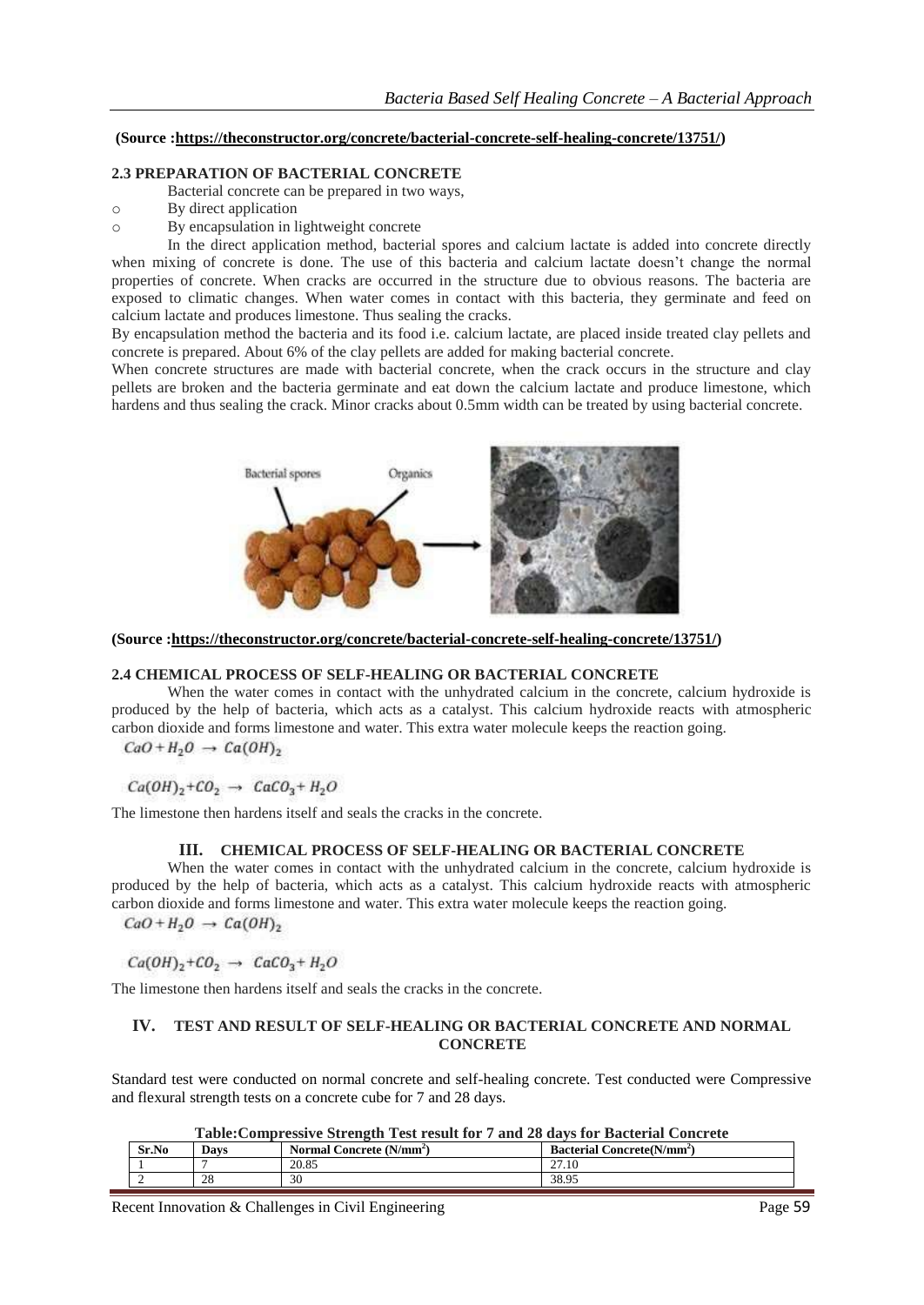#### **(Source [:https://theconstructor.org/concrete/bacterial-concrete-self-healing-concrete/13751/\)](https://theconstructor.org/concrete/bacterial-concrete-self-healing-concrete/13751/)**

### **2.3 PREPARATION OF BACTERIAL CONCRETE**

Bacterial concrete can be prepared in two ways,

- o By direct application
- o By encapsulation in lightweight concrete

In the direct application method, bacterial spores and calcium lactate is added into concrete directly when mixing of concrete is done. The use of this bacteria and calcium lactate doesn't change the normal properties of concrete. When cracks are occurred in the structure due to obvious reasons. The bacteria are exposed to climatic changes. When water comes in contact with this bacteria, they germinate and feed on calcium lactate and produces limestone. Thus sealing the cracks.

By encapsulation method the bacteria and its food i.e. calcium lactate, are placed inside treated clay pellets and concrete is prepared. About 6% of the clay pellets are added for making bacterial concrete.

When concrete structures are made with bacterial concrete, when the crack occurs in the structure and clay pellets are broken and the bacteria germinate and eat down the calcium lactate and produce limestone, which hardens and thus sealing the crack. Minor cracks about 0.5mm width can be treated by using bacterial concrete.



**(Source [:https://theconstructor.org/concrete/bacterial-concrete-self-healing-concrete/13751/\)](https://theconstructor.org/concrete/bacterial-concrete-self-healing-concrete/13751/)**

### **2.4 CHEMICAL PROCESS OF SELF-HEALING OR BACTERIAL CONCRETE**

When the water comes in contact with the unhydrated calcium in the concrete, calcium hydroxide is produced by the help of bacteria, which acts as a catalyst. This calcium hydroxide reacts with atmospheric carbon dioxide and forms limestone and water. This extra water molecule keeps the reaction going.

 $CaO + H<sub>2</sub>O \rightarrow Ca(OH)<sub>2</sub>$ 

## $Ca(OH)_2 + CO_2 \rightarrow CaCO_3 + H_2O$

The limestone then hardens itself and seals the cracks in the concrete.

### **III. CHEMICAL PROCESS OF SELF-HEALING OR BACTERIAL CONCRETE**

When the water comes in contact with the unhydrated calcium in the concrete, calcium hydroxide is produced by the help of bacteria, which acts as a catalyst. This calcium hydroxide reacts with atmospheric carbon dioxide and forms limestone and water. This extra water molecule keeps the reaction going.  $CaO + H<sub>2</sub>O \rightarrow Ca(OH)<sub>2</sub>$ 

$$
Ca(OH)_2 + CO_2 \rightarrow CaCO_3 + H_2O
$$

The limestone then hardens itself and seals the cracks in the concrete.

### **IV. TEST AND RESULT OF SELF-HEALING OR BACTERIAL CONCRETE AND NORMAL CONCRETE**

Standard test were conducted on normal concrete and self-healing concrete. Test conducted were Compressive and flexural strength tests on a concrete cube for 7 and 28 days.

| Table: Compressive Strength Test result for 7 and 28 days for Bacterial Concrete |  |
|----------------------------------------------------------------------------------|--|
|                                                                                  |  |

| Sr.No | Davs | Normal Concrete (N/mm <sup>2</sup> ) | <b>Bacterial Concrete</b> (N/mm <sup>2</sup> ) |
|-------|------|--------------------------------------|------------------------------------------------|
|       |      | 20.85                                | $\sim$<br>27.10                                |
|       | 28   | 30                                   | 38.95                                          |

Recent Innovation & Challenges in Civil Engineering Page 59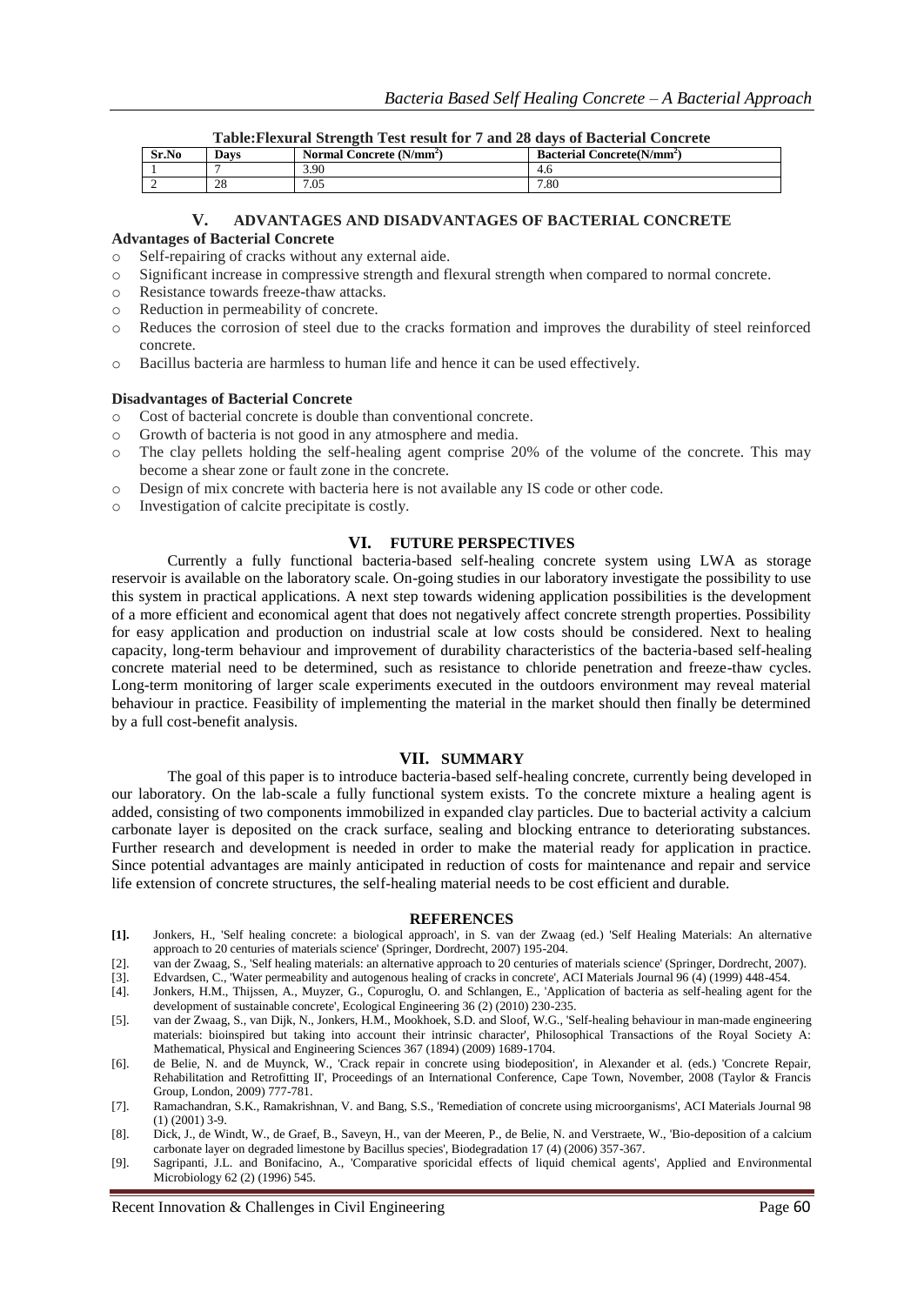| Sr.No | Davs         | Normal Concrete (N/mm <sup>2</sup> ) | <b>Bacterial Co</b><br>Concrete(N/mm <sup>2</sup> ) |
|-------|--------------|--------------------------------------|-----------------------------------------------------|
|       |              | 3.90                                 | 4.6                                                 |
|       | $\cap$<br>20 | 7.05                                 | 7.80                                                |

#### **V. ADVANTAGES AND DISADVANTAGES OF BACTERIAL CONCRETE**

#### **Advantages of Bacterial Concrete**

- o Self-repairing of cracks without any external aide.
- o Significant increase in compressive strength and flexural strength when compared to normal concrete.
- o Resistance towards freeze-thaw attacks.
- o Reduction in permeability of concrete.
- o Reduces the corrosion of steel due to the cracks formation and improves the durability of steel reinforced concrete.
- o Bacillus bacteria are harmless to human life and hence it can be used effectively.

#### **Disadvantages of Bacterial Concrete**

- o Cost of bacterial concrete is double than conventional concrete.
- o Growth of bacteria is not good in any atmosphere and media.
- o The clay pellets holding the self-healing agent comprise 20% of the volume of the concrete. This may become a shear zone or fault zone in the concrete.
- o Design of mix concrete with bacteria here is not available any IS code or other code.
- o Investigation of calcite precipitate is costly.

#### **VI. FUTURE PERSPECTIVES**

Currently a fully functional bacteria-based self-healing concrete system using LWA as storage reservoir is available on the laboratory scale. On-going studies in our laboratory investigate the possibility to use this system in practical applications. A next step towards widening application possibilities is the development of a more efficient and economical agent that does not negatively affect concrete strength properties. Possibility for easy application and production on industrial scale at low costs should be considered. Next to healing capacity, long-term behaviour and improvement of durability characteristics of the bacteria-based self-healing concrete material need to be determined, such as resistance to chloride penetration and freeze-thaw cycles. Long-term monitoring of larger scale experiments executed in the outdoors environment may reveal material behaviour in practice. Feasibility of implementing the material in the market should then finally be determined by a full cost-benefit analysis.

## **VII. SUMMARY**

The goal of this paper is to introduce bacteria-based self-healing concrete, currently being developed in our laboratory. On the lab-scale a fully functional system exists. To the concrete mixture a healing agent is added, consisting of two components immobilized in expanded clay particles. Due to bacterial activity a calcium carbonate layer is deposited on the crack surface, sealing and blocking entrance to deteriorating substances. Further research and development is needed in order to make the material ready for application in practice. Since potential advantages are mainly anticipated in reduction of costs for maintenance and repair and service life extension of concrete structures, the self-healing material needs to be cost efficient and durable.

#### **REFERENCES**

- **[1].** Jonkers, H., 'Self healing concrete: a biological approach', in S. van der Zwaag (ed.) 'Self Healing Materials: An alternative approach to 20 centuries of materials science' (Springer, Dordrecht, 2007) 195-204.
- [2]. van der Zwaag, S., 'Self healing materials: an alternative approach to 20 centuries of materials science' (Springer, Dordrecht, 2007).
- [3]. Edvardsen, C., 'Water permeability and autogenous healing of cracks in concrete', ACI Materials Journal 96 (4) (1999) 448-454.<br>[4]. Jonkers, H.M., Thijssen, A., Muyzer, G., Copuroglu, O. and Schlangen, E., 'Applicatio
- [4]. Jonkers, H.M., Thijssen, A., Muyzer, G., Copuroglu, O. and Schlangen, E., 'Application of bacteria as self-healing agent for the development of sustainable concrete', Ecological Engineering 36 (2) (2010) 230-235.
- [5]. van der Zwaag, S., van Dijk, N., Jonkers, H.M., Mookhoek, S.D. and Sloof, W.G., 'Self-healing behaviour in man-made engineering materials: bioinspired but taking into account their intrinsic character', Philosophical Transactions of the Royal Society A: Mathematical, Physical and Engineering Sciences 367 (1894) (2009) 1689-1704.
- [6]. de Belie, N. and de Muynck, W., 'Crack repair in concrete using biodeposition', in Alexander et al. (eds.) 'Concrete Repair, Rehabilitation and Retrofitting II', Proceedings of an International Conference, Cape Town, November, 2008 (Taylor & Francis Group, London, 2009) 777-781.
- [7]. Ramachandran, S.K., Ramakrishnan, V. and Bang, S.S., 'Remediation of concrete using microorganisms', ACI Materials Journal 98 (1) (2001) 3-9.
- [8]. Dick, J., de Windt, W., de Graef, B., Saveyn, H., van der Meeren, P., de Belie, N. and Verstraete, W., 'Bio-deposition of a calcium carbonate layer on degraded limestone by Bacillus species', Biodegradation 17 (4) (2006) 357-367.
- [9]. Sagripanti, J.L. and Bonifacino, A., 'Comparative sporicidal effects of liquid chemical agents', Applied and Environmental Microbiology 62 (2) (1996) 545.

Recent Innovation & Challenges in Civil Engineering Page 60